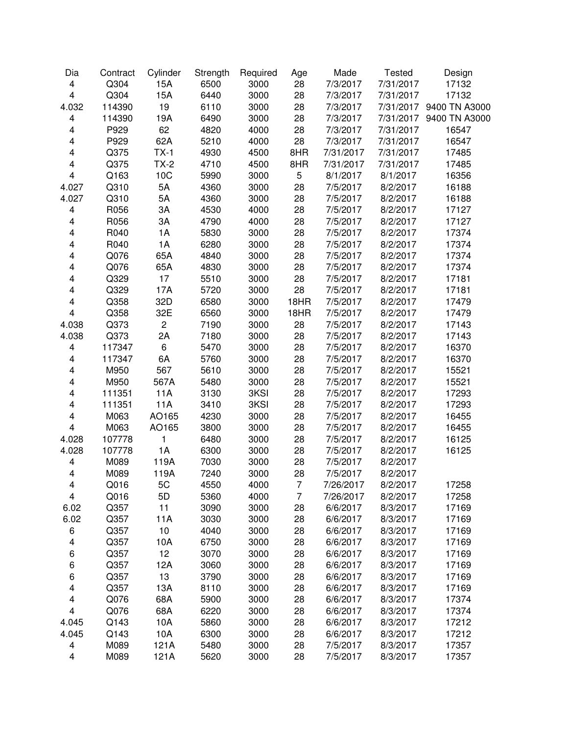| 15A<br>$\overline{\mathbf{4}}$<br>Q304<br>6500<br>3000<br>28<br>7/3/2017<br>7/31/2017<br>17132<br>$\overline{\mathbf{4}}$<br>Q304<br>15A<br>6440<br>28<br>3000<br>7/3/2017<br>7/31/2017<br>17132<br>19<br>114390<br>6110<br>3000<br>28<br>4.032<br>7/3/2017<br>7/31/2017 9400 TN A3000<br>$\overline{\mathbf{4}}$<br>114390<br>19A<br>6490<br>28<br>7/31/2017 9400 TN A3000<br>3000<br>7/3/2017<br>62<br>P929<br>4820<br>28<br>$\overline{\mathbf{4}}$<br>4000<br>7/3/2017<br>7/31/2017<br>16547<br>$\overline{\mathbf{4}}$<br>P929<br>62A<br>28<br>7/31/2017<br>5210<br>4000<br>7/3/2017<br>16547<br>$\overline{\mathbf{4}}$<br>$TX-1$<br>8HR<br>Q375<br>4930<br>4500<br>7/31/2017<br>7/31/2017<br>17485<br>$\overline{\mathbf{4}}$<br>$TX-2$<br>Q375<br>4710<br>4500<br>8HR<br>7/31/2017<br>7/31/2017<br>17485<br>10C<br>5<br>$\overline{\mathbf{4}}$<br>Q163<br>5990<br>3000<br>8/1/2017<br>8/1/2017<br>16356<br>4.027<br>Q310<br>5A<br>4360<br>3000<br>28<br>7/5/2017<br>8/2/2017<br>16188<br>5A<br>4.027<br>Q310<br>4360<br>3000<br>28<br>7/5/2017<br>8/2/2017<br>16188<br>3A<br>28<br>$\overline{\mathbf{4}}$<br>R056<br>4530<br>4000<br>7/5/2017<br>8/2/2017<br>17127<br>3A<br>R056<br>4790<br>4000<br>28<br>7/5/2017<br>8/2/2017<br>17127<br>4<br>28<br>4<br>R040<br>1A<br>5830<br>3000<br>7/5/2017<br>8/2/2017<br>17374<br>R040<br>1A<br>$\overline{\mathbf{4}}$<br>6280<br>3000<br>28<br>7/5/2017<br>8/2/2017<br>17374<br>65A<br>4<br>Q076<br>4840<br>3000<br>28<br>7/5/2017<br>8/2/2017<br>17374<br>65A<br>4830<br>4<br>Q076<br>3000<br>28<br>7/5/2017<br>8/2/2017<br>17374<br>Q329<br>17<br>5510<br>28<br>4<br>3000<br>7/5/2017<br>8/2/2017<br>17181<br>Q329<br>17A<br>28<br>4<br>5720<br>3000<br>7/5/2017<br>8/2/2017<br>17181<br>$\overline{\mathbf{4}}$<br>32D<br>Q358<br>6580<br>3000<br>18HR<br>7/5/2017<br>8/2/2017<br>17479<br>$\overline{\mathbf{4}}$<br>32E<br>Q358<br>6560<br>18HR<br>3000<br>7/5/2017<br>8/2/2017<br>17479<br>$\overline{c}$<br>4.038<br>Q373<br>7190<br>3000<br>28<br>7/5/2017<br>8/2/2017<br>17143<br>2A<br>28<br>4.038<br>Q373<br>7180<br>3000<br>7/5/2017<br>8/2/2017<br>17143<br>6<br>117347<br>5470<br>3000<br>28<br>7/5/2017<br>8/2/2017<br>16370<br>4<br>6A<br>117347<br>5760<br>3000<br>28<br>7/5/2017<br>8/2/2017<br>16370<br>4<br>567<br>M950<br>5610<br>3000<br>28<br>7/5/2017<br>8/2/2017<br>15521<br>4<br>M950<br>567A<br>5480<br>3000<br>28<br>7/5/2017<br>8/2/2017<br>15521<br>4<br><b>11A</b><br>28<br>$\overline{\mathbf{4}}$<br>111351<br>3130<br>3KSI<br>7/5/2017<br>8/2/2017<br>17293<br>11A<br>3410<br>3KSI<br>28<br>4<br>111351<br>7/5/2017<br>8/2/2017<br>17293<br>28<br>4<br>M063<br>AO165<br>4230<br>3000<br>7/5/2017<br>8/2/2017<br>16455<br>28<br>$\overline{\mathbf{4}}$<br>M063<br>AO165<br>3800<br>3000<br>7/5/2017<br>8/2/2017<br>16455<br>1<br>6480<br>28<br>4.028<br>3000<br>7/5/2017<br>8/2/2017<br>16125<br>107778<br>1A<br>6300<br>4.028<br>107778<br>3000<br>28<br>7/5/2017<br>8/2/2017<br>16125<br>7030<br>$\overline{\mathbf{4}}$<br>M089<br>119A<br>3000<br>28<br>7/5/2017<br>8/2/2017<br>28<br>4<br>M089<br>119A<br>7240<br>3000<br>7/5/2017<br>8/2/2017<br>$\overline{7}$<br>$\overline{\mathbf{4}}$<br>Q016<br>5C<br>4550<br>4000<br>7/26/2017<br>8/2/2017<br>17258 | Dia                     | Contract | Cylinder | Strength | Required | Age | Made      | <b>Tested</b> | Design |
|--------------------------------------------------------------------------------------------------------------------------------------------------------------------------------------------------------------------------------------------------------------------------------------------------------------------------------------------------------------------------------------------------------------------------------------------------------------------------------------------------------------------------------------------------------------------------------------------------------------------------------------------------------------------------------------------------------------------------------------------------------------------------------------------------------------------------------------------------------------------------------------------------------------------------------------------------------------------------------------------------------------------------------------------------------------------------------------------------------------------------------------------------------------------------------------------------------------------------------------------------------------------------------------------------------------------------------------------------------------------------------------------------------------------------------------------------------------------------------------------------------------------------------------------------------------------------------------------------------------------------------------------------------------------------------------------------------------------------------------------------------------------------------------------------------------------------------------------------------------------------------------------------------------------------------------------------------------------------------------------------------------------------------------------------------------------------------------------------------------------------------------------------------------------------------------------------------------------------------------------------------------------------------------------------------------------------------------------------------------------------------------------------------------------------------------------------------------------------------------------------------------------------------------------------------------------------------------------------------------------------------------------------------------------------------------------------------------------------------------------------------------------------------------------------------------------------------------------------------------------------------------------------------------------------------------------------------------------------------------------------------------------------------------------------------------------------------------------------------------------------------------------------------------------------------------------------------------------------------------------------------|-------------------------|----------|----------|----------|----------|-----|-----------|---------------|--------|
|                                                                                                                                                                                                                                                                                                                                                                                                                                                                                                                                                                                                                                                                                                                                                                                                                                                                                                                                                                                                                                                                                                                                                                                                                                                                                                                                                                                                                                                                                                                                                                                                                                                                                                                                                                                                                                                                                                                                                                                                                                                                                                                                                                                                                                                                                                                                                                                                                                                                                                                                                                                                                                                                                                                                                                                                                                                                                                                                                                                                                                                                                                                                                                                                                                                        |                         |          |          |          |          |     |           |               |        |
|                                                                                                                                                                                                                                                                                                                                                                                                                                                                                                                                                                                                                                                                                                                                                                                                                                                                                                                                                                                                                                                                                                                                                                                                                                                                                                                                                                                                                                                                                                                                                                                                                                                                                                                                                                                                                                                                                                                                                                                                                                                                                                                                                                                                                                                                                                                                                                                                                                                                                                                                                                                                                                                                                                                                                                                                                                                                                                                                                                                                                                                                                                                                                                                                                                                        |                         |          |          |          |          |     |           |               |        |
|                                                                                                                                                                                                                                                                                                                                                                                                                                                                                                                                                                                                                                                                                                                                                                                                                                                                                                                                                                                                                                                                                                                                                                                                                                                                                                                                                                                                                                                                                                                                                                                                                                                                                                                                                                                                                                                                                                                                                                                                                                                                                                                                                                                                                                                                                                                                                                                                                                                                                                                                                                                                                                                                                                                                                                                                                                                                                                                                                                                                                                                                                                                                                                                                                                                        |                         |          |          |          |          |     |           |               |        |
|                                                                                                                                                                                                                                                                                                                                                                                                                                                                                                                                                                                                                                                                                                                                                                                                                                                                                                                                                                                                                                                                                                                                                                                                                                                                                                                                                                                                                                                                                                                                                                                                                                                                                                                                                                                                                                                                                                                                                                                                                                                                                                                                                                                                                                                                                                                                                                                                                                                                                                                                                                                                                                                                                                                                                                                                                                                                                                                                                                                                                                                                                                                                                                                                                                                        |                         |          |          |          |          |     |           |               |        |
|                                                                                                                                                                                                                                                                                                                                                                                                                                                                                                                                                                                                                                                                                                                                                                                                                                                                                                                                                                                                                                                                                                                                                                                                                                                                                                                                                                                                                                                                                                                                                                                                                                                                                                                                                                                                                                                                                                                                                                                                                                                                                                                                                                                                                                                                                                                                                                                                                                                                                                                                                                                                                                                                                                                                                                                                                                                                                                                                                                                                                                                                                                                                                                                                                                                        |                         |          |          |          |          |     |           |               |        |
|                                                                                                                                                                                                                                                                                                                                                                                                                                                                                                                                                                                                                                                                                                                                                                                                                                                                                                                                                                                                                                                                                                                                                                                                                                                                                                                                                                                                                                                                                                                                                                                                                                                                                                                                                                                                                                                                                                                                                                                                                                                                                                                                                                                                                                                                                                                                                                                                                                                                                                                                                                                                                                                                                                                                                                                                                                                                                                                                                                                                                                                                                                                                                                                                                                                        |                         |          |          |          |          |     |           |               |        |
|                                                                                                                                                                                                                                                                                                                                                                                                                                                                                                                                                                                                                                                                                                                                                                                                                                                                                                                                                                                                                                                                                                                                                                                                                                                                                                                                                                                                                                                                                                                                                                                                                                                                                                                                                                                                                                                                                                                                                                                                                                                                                                                                                                                                                                                                                                                                                                                                                                                                                                                                                                                                                                                                                                                                                                                                                                                                                                                                                                                                                                                                                                                                                                                                                                                        |                         |          |          |          |          |     |           |               |        |
|                                                                                                                                                                                                                                                                                                                                                                                                                                                                                                                                                                                                                                                                                                                                                                                                                                                                                                                                                                                                                                                                                                                                                                                                                                                                                                                                                                                                                                                                                                                                                                                                                                                                                                                                                                                                                                                                                                                                                                                                                                                                                                                                                                                                                                                                                                                                                                                                                                                                                                                                                                                                                                                                                                                                                                                                                                                                                                                                                                                                                                                                                                                                                                                                                                                        |                         |          |          |          |          |     |           |               |        |
|                                                                                                                                                                                                                                                                                                                                                                                                                                                                                                                                                                                                                                                                                                                                                                                                                                                                                                                                                                                                                                                                                                                                                                                                                                                                                                                                                                                                                                                                                                                                                                                                                                                                                                                                                                                                                                                                                                                                                                                                                                                                                                                                                                                                                                                                                                                                                                                                                                                                                                                                                                                                                                                                                                                                                                                                                                                                                                                                                                                                                                                                                                                                                                                                                                                        |                         |          |          |          |          |     |           |               |        |
|                                                                                                                                                                                                                                                                                                                                                                                                                                                                                                                                                                                                                                                                                                                                                                                                                                                                                                                                                                                                                                                                                                                                                                                                                                                                                                                                                                                                                                                                                                                                                                                                                                                                                                                                                                                                                                                                                                                                                                                                                                                                                                                                                                                                                                                                                                                                                                                                                                                                                                                                                                                                                                                                                                                                                                                                                                                                                                                                                                                                                                                                                                                                                                                                                                                        |                         |          |          |          |          |     |           |               |        |
|                                                                                                                                                                                                                                                                                                                                                                                                                                                                                                                                                                                                                                                                                                                                                                                                                                                                                                                                                                                                                                                                                                                                                                                                                                                                                                                                                                                                                                                                                                                                                                                                                                                                                                                                                                                                                                                                                                                                                                                                                                                                                                                                                                                                                                                                                                                                                                                                                                                                                                                                                                                                                                                                                                                                                                                                                                                                                                                                                                                                                                                                                                                                                                                                                                                        |                         |          |          |          |          |     |           |               |        |
|                                                                                                                                                                                                                                                                                                                                                                                                                                                                                                                                                                                                                                                                                                                                                                                                                                                                                                                                                                                                                                                                                                                                                                                                                                                                                                                                                                                                                                                                                                                                                                                                                                                                                                                                                                                                                                                                                                                                                                                                                                                                                                                                                                                                                                                                                                                                                                                                                                                                                                                                                                                                                                                                                                                                                                                                                                                                                                                                                                                                                                                                                                                                                                                                                                                        |                         |          |          |          |          |     |           |               |        |
|                                                                                                                                                                                                                                                                                                                                                                                                                                                                                                                                                                                                                                                                                                                                                                                                                                                                                                                                                                                                                                                                                                                                                                                                                                                                                                                                                                                                                                                                                                                                                                                                                                                                                                                                                                                                                                                                                                                                                                                                                                                                                                                                                                                                                                                                                                                                                                                                                                                                                                                                                                                                                                                                                                                                                                                                                                                                                                                                                                                                                                                                                                                                                                                                                                                        |                         |          |          |          |          |     |           |               |        |
|                                                                                                                                                                                                                                                                                                                                                                                                                                                                                                                                                                                                                                                                                                                                                                                                                                                                                                                                                                                                                                                                                                                                                                                                                                                                                                                                                                                                                                                                                                                                                                                                                                                                                                                                                                                                                                                                                                                                                                                                                                                                                                                                                                                                                                                                                                                                                                                                                                                                                                                                                                                                                                                                                                                                                                                                                                                                                                                                                                                                                                                                                                                                                                                                                                                        |                         |          |          |          |          |     |           |               |        |
|                                                                                                                                                                                                                                                                                                                                                                                                                                                                                                                                                                                                                                                                                                                                                                                                                                                                                                                                                                                                                                                                                                                                                                                                                                                                                                                                                                                                                                                                                                                                                                                                                                                                                                                                                                                                                                                                                                                                                                                                                                                                                                                                                                                                                                                                                                                                                                                                                                                                                                                                                                                                                                                                                                                                                                                                                                                                                                                                                                                                                                                                                                                                                                                                                                                        |                         |          |          |          |          |     |           |               |        |
|                                                                                                                                                                                                                                                                                                                                                                                                                                                                                                                                                                                                                                                                                                                                                                                                                                                                                                                                                                                                                                                                                                                                                                                                                                                                                                                                                                                                                                                                                                                                                                                                                                                                                                                                                                                                                                                                                                                                                                                                                                                                                                                                                                                                                                                                                                                                                                                                                                                                                                                                                                                                                                                                                                                                                                                                                                                                                                                                                                                                                                                                                                                                                                                                                                                        |                         |          |          |          |          |     |           |               |        |
|                                                                                                                                                                                                                                                                                                                                                                                                                                                                                                                                                                                                                                                                                                                                                                                                                                                                                                                                                                                                                                                                                                                                                                                                                                                                                                                                                                                                                                                                                                                                                                                                                                                                                                                                                                                                                                                                                                                                                                                                                                                                                                                                                                                                                                                                                                                                                                                                                                                                                                                                                                                                                                                                                                                                                                                                                                                                                                                                                                                                                                                                                                                                                                                                                                                        |                         |          |          |          |          |     |           |               |        |
|                                                                                                                                                                                                                                                                                                                                                                                                                                                                                                                                                                                                                                                                                                                                                                                                                                                                                                                                                                                                                                                                                                                                                                                                                                                                                                                                                                                                                                                                                                                                                                                                                                                                                                                                                                                                                                                                                                                                                                                                                                                                                                                                                                                                                                                                                                                                                                                                                                                                                                                                                                                                                                                                                                                                                                                                                                                                                                                                                                                                                                                                                                                                                                                                                                                        |                         |          |          |          |          |     |           |               |        |
|                                                                                                                                                                                                                                                                                                                                                                                                                                                                                                                                                                                                                                                                                                                                                                                                                                                                                                                                                                                                                                                                                                                                                                                                                                                                                                                                                                                                                                                                                                                                                                                                                                                                                                                                                                                                                                                                                                                                                                                                                                                                                                                                                                                                                                                                                                                                                                                                                                                                                                                                                                                                                                                                                                                                                                                                                                                                                                                                                                                                                                                                                                                                                                                                                                                        |                         |          |          |          |          |     |           |               |        |
|                                                                                                                                                                                                                                                                                                                                                                                                                                                                                                                                                                                                                                                                                                                                                                                                                                                                                                                                                                                                                                                                                                                                                                                                                                                                                                                                                                                                                                                                                                                                                                                                                                                                                                                                                                                                                                                                                                                                                                                                                                                                                                                                                                                                                                                                                                                                                                                                                                                                                                                                                                                                                                                                                                                                                                                                                                                                                                                                                                                                                                                                                                                                                                                                                                                        |                         |          |          |          |          |     |           |               |        |
|                                                                                                                                                                                                                                                                                                                                                                                                                                                                                                                                                                                                                                                                                                                                                                                                                                                                                                                                                                                                                                                                                                                                                                                                                                                                                                                                                                                                                                                                                                                                                                                                                                                                                                                                                                                                                                                                                                                                                                                                                                                                                                                                                                                                                                                                                                                                                                                                                                                                                                                                                                                                                                                                                                                                                                                                                                                                                                                                                                                                                                                                                                                                                                                                                                                        |                         |          |          |          |          |     |           |               |        |
|                                                                                                                                                                                                                                                                                                                                                                                                                                                                                                                                                                                                                                                                                                                                                                                                                                                                                                                                                                                                                                                                                                                                                                                                                                                                                                                                                                                                                                                                                                                                                                                                                                                                                                                                                                                                                                                                                                                                                                                                                                                                                                                                                                                                                                                                                                                                                                                                                                                                                                                                                                                                                                                                                                                                                                                                                                                                                                                                                                                                                                                                                                                                                                                                                                                        |                         |          |          |          |          |     |           |               |        |
|                                                                                                                                                                                                                                                                                                                                                                                                                                                                                                                                                                                                                                                                                                                                                                                                                                                                                                                                                                                                                                                                                                                                                                                                                                                                                                                                                                                                                                                                                                                                                                                                                                                                                                                                                                                                                                                                                                                                                                                                                                                                                                                                                                                                                                                                                                                                                                                                                                                                                                                                                                                                                                                                                                                                                                                                                                                                                                                                                                                                                                                                                                                                                                                                                                                        |                         |          |          |          |          |     |           |               |        |
|                                                                                                                                                                                                                                                                                                                                                                                                                                                                                                                                                                                                                                                                                                                                                                                                                                                                                                                                                                                                                                                                                                                                                                                                                                                                                                                                                                                                                                                                                                                                                                                                                                                                                                                                                                                                                                                                                                                                                                                                                                                                                                                                                                                                                                                                                                                                                                                                                                                                                                                                                                                                                                                                                                                                                                                                                                                                                                                                                                                                                                                                                                                                                                                                                                                        |                         |          |          |          |          |     |           |               |        |
|                                                                                                                                                                                                                                                                                                                                                                                                                                                                                                                                                                                                                                                                                                                                                                                                                                                                                                                                                                                                                                                                                                                                                                                                                                                                                                                                                                                                                                                                                                                                                                                                                                                                                                                                                                                                                                                                                                                                                                                                                                                                                                                                                                                                                                                                                                                                                                                                                                                                                                                                                                                                                                                                                                                                                                                                                                                                                                                                                                                                                                                                                                                                                                                                                                                        |                         |          |          |          |          |     |           |               |        |
|                                                                                                                                                                                                                                                                                                                                                                                                                                                                                                                                                                                                                                                                                                                                                                                                                                                                                                                                                                                                                                                                                                                                                                                                                                                                                                                                                                                                                                                                                                                                                                                                                                                                                                                                                                                                                                                                                                                                                                                                                                                                                                                                                                                                                                                                                                                                                                                                                                                                                                                                                                                                                                                                                                                                                                                                                                                                                                                                                                                                                                                                                                                                                                                                                                                        |                         |          |          |          |          |     |           |               |        |
|                                                                                                                                                                                                                                                                                                                                                                                                                                                                                                                                                                                                                                                                                                                                                                                                                                                                                                                                                                                                                                                                                                                                                                                                                                                                                                                                                                                                                                                                                                                                                                                                                                                                                                                                                                                                                                                                                                                                                                                                                                                                                                                                                                                                                                                                                                                                                                                                                                                                                                                                                                                                                                                                                                                                                                                                                                                                                                                                                                                                                                                                                                                                                                                                                                                        |                         |          |          |          |          |     |           |               |        |
|                                                                                                                                                                                                                                                                                                                                                                                                                                                                                                                                                                                                                                                                                                                                                                                                                                                                                                                                                                                                                                                                                                                                                                                                                                                                                                                                                                                                                                                                                                                                                                                                                                                                                                                                                                                                                                                                                                                                                                                                                                                                                                                                                                                                                                                                                                                                                                                                                                                                                                                                                                                                                                                                                                                                                                                                                                                                                                                                                                                                                                                                                                                                                                                                                                                        |                         |          |          |          |          |     |           |               |        |
|                                                                                                                                                                                                                                                                                                                                                                                                                                                                                                                                                                                                                                                                                                                                                                                                                                                                                                                                                                                                                                                                                                                                                                                                                                                                                                                                                                                                                                                                                                                                                                                                                                                                                                                                                                                                                                                                                                                                                                                                                                                                                                                                                                                                                                                                                                                                                                                                                                                                                                                                                                                                                                                                                                                                                                                                                                                                                                                                                                                                                                                                                                                                                                                                                                                        |                         |          |          |          |          |     |           |               |        |
|                                                                                                                                                                                                                                                                                                                                                                                                                                                                                                                                                                                                                                                                                                                                                                                                                                                                                                                                                                                                                                                                                                                                                                                                                                                                                                                                                                                                                                                                                                                                                                                                                                                                                                                                                                                                                                                                                                                                                                                                                                                                                                                                                                                                                                                                                                                                                                                                                                                                                                                                                                                                                                                                                                                                                                                                                                                                                                                                                                                                                                                                                                                                                                                                                                                        |                         |          |          |          |          |     |           |               |        |
|                                                                                                                                                                                                                                                                                                                                                                                                                                                                                                                                                                                                                                                                                                                                                                                                                                                                                                                                                                                                                                                                                                                                                                                                                                                                                                                                                                                                                                                                                                                                                                                                                                                                                                                                                                                                                                                                                                                                                                                                                                                                                                                                                                                                                                                                                                                                                                                                                                                                                                                                                                                                                                                                                                                                                                                                                                                                                                                                                                                                                                                                                                                                                                                                                                                        |                         |          |          |          |          |     |           |               |        |
|                                                                                                                                                                                                                                                                                                                                                                                                                                                                                                                                                                                                                                                                                                                                                                                                                                                                                                                                                                                                                                                                                                                                                                                                                                                                                                                                                                                                                                                                                                                                                                                                                                                                                                                                                                                                                                                                                                                                                                                                                                                                                                                                                                                                                                                                                                                                                                                                                                                                                                                                                                                                                                                                                                                                                                                                                                                                                                                                                                                                                                                                                                                                                                                                                                                        |                         |          |          |          |          |     |           |               |        |
|                                                                                                                                                                                                                                                                                                                                                                                                                                                                                                                                                                                                                                                                                                                                                                                                                                                                                                                                                                                                                                                                                                                                                                                                                                                                                                                                                                                                                                                                                                                                                                                                                                                                                                                                                                                                                                                                                                                                                                                                                                                                                                                                                                                                                                                                                                                                                                                                                                                                                                                                                                                                                                                                                                                                                                                                                                                                                                                                                                                                                                                                                                                                                                                                                                                        |                         |          |          |          |          |     |           |               |        |
|                                                                                                                                                                                                                                                                                                                                                                                                                                                                                                                                                                                                                                                                                                                                                                                                                                                                                                                                                                                                                                                                                                                                                                                                                                                                                                                                                                                                                                                                                                                                                                                                                                                                                                                                                                                                                                                                                                                                                                                                                                                                                                                                                                                                                                                                                                                                                                                                                                                                                                                                                                                                                                                                                                                                                                                                                                                                                                                                                                                                                                                                                                                                                                                                                                                        |                         |          |          |          |          |     |           |               |        |
|                                                                                                                                                                                                                                                                                                                                                                                                                                                                                                                                                                                                                                                                                                                                                                                                                                                                                                                                                                                                                                                                                                                                                                                                                                                                                                                                                                                                                                                                                                                                                                                                                                                                                                                                                                                                                                                                                                                                                                                                                                                                                                                                                                                                                                                                                                                                                                                                                                                                                                                                                                                                                                                                                                                                                                                                                                                                                                                                                                                                                                                                                                                                                                                                                                                        |                         |          |          |          |          |     |           |               |        |
|                                                                                                                                                                                                                                                                                                                                                                                                                                                                                                                                                                                                                                                                                                                                                                                                                                                                                                                                                                                                                                                                                                                                                                                                                                                                                                                                                                                                                                                                                                                                                                                                                                                                                                                                                                                                                                                                                                                                                                                                                                                                                                                                                                                                                                                                                                                                                                                                                                                                                                                                                                                                                                                                                                                                                                                                                                                                                                                                                                                                                                                                                                                                                                                                                                                        |                         |          |          |          |          |     |           |               |        |
|                                                                                                                                                                                                                                                                                                                                                                                                                                                                                                                                                                                                                                                                                                                                                                                                                                                                                                                                                                                                                                                                                                                                                                                                                                                                                                                                                                                                                                                                                                                                                                                                                                                                                                                                                                                                                                                                                                                                                                                                                                                                                                                                                                                                                                                                                                                                                                                                                                                                                                                                                                                                                                                                                                                                                                                                                                                                                                                                                                                                                                                                                                                                                                                                                                                        | $\overline{\mathbf{4}}$ | Q016     | 5D       | 5360     | 4000     | 7   | 7/26/2017 | 8/2/2017      | 17258  |
| 11<br>Q357<br>3090<br>3000<br>28<br>6/6/2017<br>6.02<br>8/3/2017<br>17169                                                                                                                                                                                                                                                                                                                                                                                                                                                                                                                                                                                                                                                                                                                                                                                                                                                                                                                                                                                                                                                                                                                                                                                                                                                                                                                                                                                                                                                                                                                                                                                                                                                                                                                                                                                                                                                                                                                                                                                                                                                                                                                                                                                                                                                                                                                                                                                                                                                                                                                                                                                                                                                                                                                                                                                                                                                                                                                                                                                                                                                                                                                                                                              |                         |          |          |          |          |     |           |               |        |
| 6.02<br>Q357<br>11A<br>3000<br>28<br>3030<br>6/6/2017<br>8/3/2017<br>17169                                                                                                                                                                                                                                                                                                                                                                                                                                                                                                                                                                                                                                                                                                                                                                                                                                                                                                                                                                                                                                                                                                                                                                                                                                                                                                                                                                                                                                                                                                                                                                                                                                                                                                                                                                                                                                                                                                                                                                                                                                                                                                                                                                                                                                                                                                                                                                                                                                                                                                                                                                                                                                                                                                                                                                                                                                                                                                                                                                                                                                                                                                                                                                             |                         |          |          |          |          |     |           |               |        |
| 6<br>Q357<br>10<br>4040<br>3000<br>28<br>6/6/2017<br>8/3/2017<br>17169                                                                                                                                                                                                                                                                                                                                                                                                                                                                                                                                                                                                                                                                                                                                                                                                                                                                                                                                                                                                                                                                                                                                                                                                                                                                                                                                                                                                                                                                                                                                                                                                                                                                                                                                                                                                                                                                                                                                                                                                                                                                                                                                                                                                                                                                                                                                                                                                                                                                                                                                                                                                                                                                                                                                                                                                                                                                                                                                                                                                                                                                                                                                                                                 |                         |          |          |          |          |     |           |               |        |
| $\overline{\mathbf{4}}$<br>Q357<br>10A<br>3000<br>28<br>6750<br>6/6/2017<br>8/3/2017<br>17169                                                                                                                                                                                                                                                                                                                                                                                                                                                                                                                                                                                                                                                                                                                                                                                                                                                                                                                                                                                                                                                                                                                                                                                                                                                                                                                                                                                                                                                                                                                                                                                                                                                                                                                                                                                                                                                                                                                                                                                                                                                                                                                                                                                                                                                                                                                                                                                                                                                                                                                                                                                                                                                                                                                                                                                                                                                                                                                                                                                                                                                                                                                                                          |                         |          |          |          |          |     |           |               |        |
| 6<br>Q357<br>12<br>3070<br>3000<br>28<br>6/6/2017<br>8/3/2017<br>17169                                                                                                                                                                                                                                                                                                                                                                                                                                                                                                                                                                                                                                                                                                                                                                                                                                                                                                                                                                                                                                                                                                                                                                                                                                                                                                                                                                                                                                                                                                                                                                                                                                                                                                                                                                                                                                                                                                                                                                                                                                                                                                                                                                                                                                                                                                                                                                                                                                                                                                                                                                                                                                                                                                                                                                                                                                                                                                                                                                                                                                                                                                                                                                                 |                         |          |          |          |          |     |           |               |        |
| 6<br>Q357<br>12A<br>3060<br>3000<br>28<br>6/6/2017<br>8/3/2017<br>17169                                                                                                                                                                                                                                                                                                                                                                                                                                                                                                                                                                                                                                                                                                                                                                                                                                                                                                                                                                                                                                                                                                                                                                                                                                                                                                                                                                                                                                                                                                                                                                                                                                                                                                                                                                                                                                                                                                                                                                                                                                                                                                                                                                                                                                                                                                                                                                                                                                                                                                                                                                                                                                                                                                                                                                                                                                                                                                                                                                                                                                                                                                                                                                                |                         |          |          |          |          |     |           |               |        |
| 13<br>6<br>Q357<br>3790<br>3000<br>28<br>6/6/2017<br>8/3/2017<br>17169                                                                                                                                                                                                                                                                                                                                                                                                                                                                                                                                                                                                                                                                                                                                                                                                                                                                                                                                                                                                                                                                                                                                                                                                                                                                                                                                                                                                                                                                                                                                                                                                                                                                                                                                                                                                                                                                                                                                                                                                                                                                                                                                                                                                                                                                                                                                                                                                                                                                                                                                                                                                                                                                                                                                                                                                                                                                                                                                                                                                                                                                                                                                                                                 |                         |          |          |          |          |     |           |               |        |
| $\overline{\mathbf{4}}$<br>Q357<br>13A<br>8110<br>3000<br>28<br>6/6/2017<br>17169<br>8/3/2017                                                                                                                                                                                                                                                                                                                                                                                                                                                                                                                                                                                                                                                                                                                                                                                                                                                                                                                                                                                                                                                                                                                                                                                                                                                                                                                                                                                                                                                                                                                                                                                                                                                                                                                                                                                                                                                                                                                                                                                                                                                                                                                                                                                                                                                                                                                                                                                                                                                                                                                                                                                                                                                                                                                                                                                                                                                                                                                                                                                                                                                                                                                                                          |                         |          |          |          |          |     |           |               |        |
| $\overline{\mathbf{4}}$<br>Q076<br>68A<br>5900<br>3000<br>28<br>6/6/2017<br>8/3/2017<br>17374                                                                                                                                                                                                                                                                                                                                                                                                                                                                                                                                                                                                                                                                                                                                                                                                                                                                                                                                                                                                                                                                                                                                                                                                                                                                                                                                                                                                                                                                                                                                                                                                                                                                                                                                                                                                                                                                                                                                                                                                                                                                                                                                                                                                                                                                                                                                                                                                                                                                                                                                                                                                                                                                                                                                                                                                                                                                                                                                                                                                                                                                                                                                                          |                         |          |          |          |          |     |           |               |        |
| $\overline{\mathbf{4}}$<br>Q076<br>68A<br>6220<br>3000<br>28<br>6/6/2017<br>17374<br>8/3/2017                                                                                                                                                                                                                                                                                                                                                                                                                                                                                                                                                                                                                                                                                                                                                                                                                                                                                                                                                                                                                                                                                                                                                                                                                                                                                                                                                                                                                                                                                                                                                                                                                                                                                                                                                                                                                                                                                                                                                                                                                                                                                                                                                                                                                                                                                                                                                                                                                                                                                                                                                                                                                                                                                                                                                                                                                                                                                                                                                                                                                                                                                                                                                          |                         |          |          |          |          |     |           |               |        |
| 4.045<br>Q143<br>10A<br>5860<br>3000<br>28<br>6/6/2017<br>8/3/2017<br>17212                                                                                                                                                                                                                                                                                                                                                                                                                                                                                                                                                                                                                                                                                                                                                                                                                                                                                                                                                                                                                                                                                                                                                                                                                                                                                                                                                                                                                                                                                                                                                                                                                                                                                                                                                                                                                                                                                                                                                                                                                                                                                                                                                                                                                                                                                                                                                                                                                                                                                                                                                                                                                                                                                                                                                                                                                                                                                                                                                                                                                                                                                                                                                                            |                         |          |          |          |          |     |           |               |        |
| 4.045<br>Q143<br>10A<br>6300<br>3000<br>28<br>17212<br>6/6/2017<br>8/3/2017                                                                                                                                                                                                                                                                                                                                                                                                                                                                                                                                                                                                                                                                                                                                                                                                                                                                                                                                                                                                                                                                                                                                                                                                                                                                                                                                                                                                                                                                                                                                                                                                                                                                                                                                                                                                                                                                                                                                                                                                                                                                                                                                                                                                                                                                                                                                                                                                                                                                                                                                                                                                                                                                                                                                                                                                                                                                                                                                                                                                                                                                                                                                                                            |                         |          |          |          |          |     |           |               |        |
| $\overline{\mathbf{4}}$<br>M089<br>121A<br>5480<br>3000<br>28<br>7/5/2017<br>8/3/2017<br>17357                                                                                                                                                                                                                                                                                                                                                                                                                                                                                                                                                                                                                                                                                                                                                                                                                                                                                                                                                                                                                                                                                                                                                                                                                                                                                                                                                                                                                                                                                                                                                                                                                                                                                                                                                                                                                                                                                                                                                                                                                                                                                                                                                                                                                                                                                                                                                                                                                                                                                                                                                                                                                                                                                                                                                                                                                                                                                                                                                                                                                                                                                                                                                         |                         |          |          |          |          |     |           |               |        |
| 4<br>M089<br>121A<br>5620<br>3000<br>28<br>7/5/2017<br>8/3/2017<br>17357                                                                                                                                                                                                                                                                                                                                                                                                                                                                                                                                                                                                                                                                                                                                                                                                                                                                                                                                                                                                                                                                                                                                                                                                                                                                                                                                                                                                                                                                                                                                                                                                                                                                                                                                                                                                                                                                                                                                                                                                                                                                                                                                                                                                                                                                                                                                                                                                                                                                                                                                                                                                                                                                                                                                                                                                                                                                                                                                                                                                                                                                                                                                                                               |                         |          |          |          |          |     |           |               |        |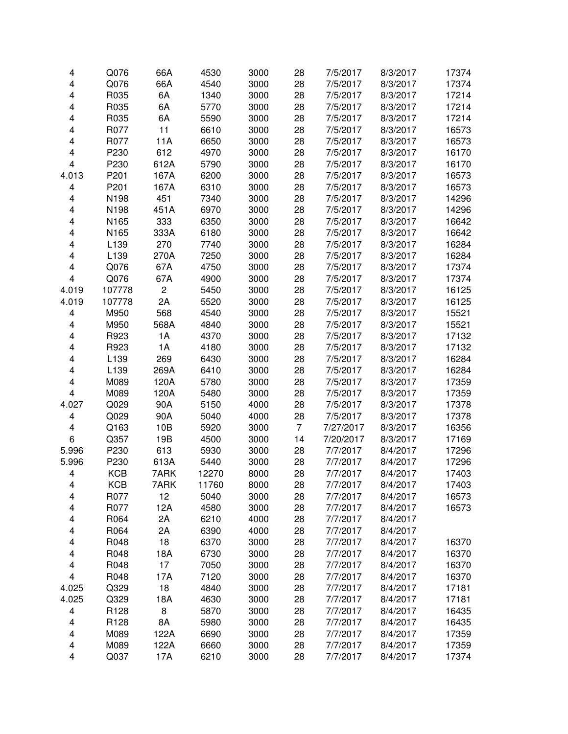| 4                       | Q076       | 66A                     | 4530  | 3000 | 28             | 7/5/2017  | 8/3/2017 | 17374 |
|-------------------------|------------|-------------------------|-------|------|----------------|-----------|----------|-------|
| $\overline{\mathbf{4}}$ | Q076       | 66A                     | 4540  | 3000 | 28             | 7/5/2017  | 8/3/2017 | 17374 |
| $\overline{\mathbf{4}}$ | R035       | 6A                      | 1340  | 3000 | 28             | 7/5/2017  | 8/3/2017 | 17214 |
| 4                       | R035       | 6A                      | 5770  | 3000 | 28             | 7/5/2017  | 8/3/2017 | 17214 |
| 4                       | R035       | 6A                      | 5590  | 3000 | 28             | 7/5/2017  | 8/3/2017 | 17214 |
| 4                       | R077       | 11                      | 6610  | 3000 | 28             | 7/5/2017  | 8/3/2017 | 16573 |
| 4                       | R077       | 11A                     | 6650  | 3000 | 28             | 7/5/2017  | 8/3/2017 | 16573 |
| 4                       | P230       | 612                     | 4970  | 3000 | 28             | 7/5/2017  | 8/3/2017 | 16170 |
| $\overline{\mathbf{4}}$ | P230       | 612A                    | 5790  | 3000 | 28             | 7/5/2017  | 8/3/2017 | 16170 |
| 4.013                   | P201       | 167A                    | 6200  | 3000 | 28             | 7/5/2017  | 8/3/2017 | 16573 |
| 4                       | P201       | 167A                    | 6310  | 3000 | 28             | 7/5/2017  | 8/3/2017 | 16573 |
| 4                       | N198       | 451                     | 7340  | 3000 | 28             | 7/5/2017  | 8/3/2017 | 14296 |
| 4                       | N198       | 451A                    | 6970  | 3000 | 28             | 7/5/2017  | 8/3/2017 | 14296 |
| 4                       | N165       | 333                     | 6350  | 3000 | 28             | 7/5/2017  | 8/3/2017 | 16642 |
| 4                       | N165       | 333A                    | 6180  | 3000 | 28             | 7/5/2017  | 8/3/2017 | 16642 |
| 4                       | L139       | 270                     | 7740  | 3000 | 28             | 7/5/2017  | 8/3/2017 | 16284 |
| 4                       | L139       | 270A                    | 7250  | 3000 | 28             | 7/5/2017  | 8/3/2017 | 16284 |
| 4                       | Q076       | 67A                     | 4750  | 3000 | 28             | 7/5/2017  | 8/3/2017 | 17374 |
| 4                       | Q076       | 67A                     | 4900  | 3000 | 28             | 7/5/2017  | 8/3/2017 | 17374 |
| 4.019                   | 107778     | $\overline{\mathbf{c}}$ | 5450  | 3000 | 28             | 7/5/2017  | 8/3/2017 | 16125 |
| 4.019                   | 107778     | 2A                      | 5520  | 3000 | 28             | 7/5/2017  | 8/3/2017 | 16125 |
| 4                       | M950       | 568                     | 4540  | 3000 | 28             | 7/5/2017  | 8/3/2017 | 15521 |
| 4                       | M950       | 568A                    | 4840  | 3000 | 28             | 7/5/2017  | 8/3/2017 | 15521 |
| 4                       | R923       | 1A                      | 4370  | 3000 | 28             | 7/5/2017  | 8/3/2017 | 17132 |
| 4                       | R923       | 1A                      | 4180  | 3000 | 28             | 7/5/2017  | 8/3/2017 | 17132 |
| 4                       | L139       | 269                     | 6430  | 3000 | 28             | 7/5/2017  | 8/3/2017 | 16284 |
| 4                       | L139       | 269A                    | 6410  | 3000 | 28             | 7/5/2017  | 8/3/2017 | 16284 |
| 4                       | M089       | 120A                    | 5780  | 3000 | 28             | 7/5/2017  | 8/3/2017 | 17359 |
| 4                       | M089       | 120A                    | 5480  | 3000 | 28             | 7/5/2017  | 8/3/2017 | 17359 |
| 4.027                   | Q029       | 90A                     | 5150  | 4000 | 28             | 7/5/2017  | 8/3/2017 | 17378 |
| 4                       | Q029       | 90A                     | 5040  | 4000 | 28             | 7/5/2017  | 8/3/2017 | 17378 |
| 4                       | Q163       | 10B                     | 5920  | 3000 | $\overline{7}$ | 7/27/2017 | 8/3/2017 | 16356 |
| 6                       | Q357       | 19B                     | 4500  | 3000 | 14             | 7/20/2017 | 8/3/2017 | 17169 |
| 5.996                   | P230       | 613                     | 5930  | 3000 | 28             | 7/7/2017  | 8/4/2017 | 17296 |
| 5.996                   | P230       | 613A                    | 5440  | 3000 | 28             | 7/7/2017  | 8/4/2017 | 17296 |
| 4                       | <b>KCB</b> | 7ARK                    | 12270 | 8000 | 28             | 7/7/2017  | 8/4/2017 | 17403 |
| 4                       | <b>KCB</b> | 7ARK                    | 11760 | 8000 | 28             | 7/7/2017  | 8/4/2017 | 17403 |
| 4                       | R077       | 12                      | 5040  | 3000 | 28             | 7/7/2017  | 8/4/2017 | 16573 |
| 4                       | R077       | 12A                     | 4580  | 3000 | 28             | 7/7/2017  | 8/4/2017 | 16573 |
| 4                       | R064       | 2A                      | 6210  | 4000 | 28             | 7/7/2017  | 8/4/2017 |       |
| 4                       | R064       | 2A                      | 6390  | 4000 | 28             | 7/7/2017  | 8/4/2017 |       |
| 4                       | R048       | 18                      | 6370  | 3000 | 28             | 7/7/2017  | 8/4/2017 | 16370 |
| 4                       | R048       | 18A                     | 6730  | 3000 | 28             | 7/7/2017  | 8/4/2017 | 16370 |
| 4                       | R048       | 17                      | 7050  | 3000 | 28             | 7/7/2017  | 8/4/2017 | 16370 |
| 4                       | R048       | 17A                     | 7120  | 3000 | 28             | 7/7/2017  | 8/4/2017 | 16370 |
| 4.025                   | Q329       | 18                      | 4840  | 3000 | 28             | 7/7/2017  | 8/4/2017 | 17181 |
| 4.025                   | Q329       | 18A                     | 4630  | 3000 | 28             | 7/7/2017  | 8/4/2017 | 17181 |
| 4                       | R128       | 8                       | 5870  | 3000 | 28             | 7/7/2017  | 8/4/2017 | 16435 |
| 4                       | R128       | 8A                      | 5980  | 3000 | 28             | 7/7/2017  | 8/4/2017 | 16435 |
| 4                       | M089       | 122A                    | 6690  | 3000 | 28             | 7/7/2017  | 8/4/2017 | 17359 |
| 4                       | M089       | 122A                    | 6660  | 3000 | 28             | 7/7/2017  | 8/4/2017 | 17359 |
| 4                       | Q037       | 17A                     | 6210  | 3000 | 28             | 7/7/2017  | 8/4/2017 | 17374 |